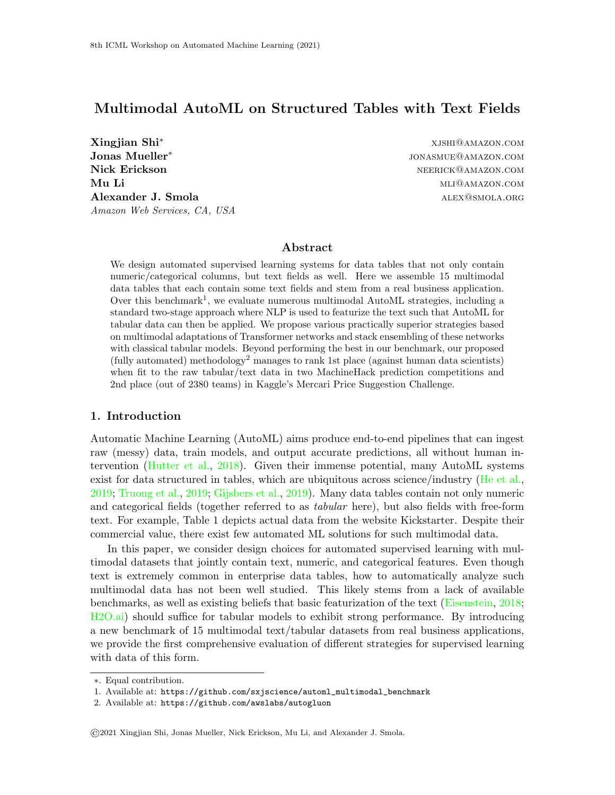## Multimodal AutoML on Structured Tables with Text Fields

Xingjian Shi<sup>∗</sup> xjshi@amazon.com Jonas Mueller<sup>∗</sup> Nick Erickson neerick@amazon.com Mu Li material method and the material method of the multiple method and multiple method in the multiple method of  $\text{MLI@AMAZON. COM}$ Alexander J. Smola alexander Solution and ALEX CONDITIONS ALEX CONDUCT ALEX CONDUCT ALEX CONDUCT ALEX CONDUCT A Amazon Web Services, CA, USA

jonasmue@amazon.com

## Abstract

We design automated supervised learning systems for data tables that not only contain numeric/categorical columns, but text fields as well. Here we assemble 15 multimodal data tables that each contain some text fields and stem from a real business application. Over this benchmark<sup>[1](#page-0-0)</sup>, we evaluate numerous multimodal AutoML strategies, including a standard two-stage approach where NLP is used to featurize the text such that AutoML for tabular data can then be applied. We propose various practically superior strategies based on multimodal adaptations of Transformer networks and stack ensembling of these networks with classical tabular models. Beyond performing the best in our benchmark, our proposed  $(fully \ automated) methodology<sup>2</sup> manages to rank 1st place (against human data scientists)$  $(fully \ automated) methodology<sup>2</sup> manages to rank 1st place (against human data scientists)$  $(fully \ automated) methodology<sup>2</sup> manages to rank 1st place (against human data scientists)$ when fit to the raw tabular/text data in two MachineHack prediction competitions and 2nd place (out of 2380 teams) in Kaggle's Mercari Price Suggestion Challenge.

#### 1. Introduction

Automatic Machine Learning (AutoML) aims produce end-to-end pipelines that can ingest raw (messy) data, train models, and output accurate predictions, all without human intervention [\(Hutter et al.,](#page-13-0) [2018\)](#page-13-0). Given their immense potential, many AutoML systems exist for data structured in tables, which are ubiquitous across science/industry [\(He et al.,](#page-12-0) [2019;](#page-12-0) [Truong et al.,](#page-13-1) [2019;](#page-13-1) [Gijsbers et al.,](#page-12-1) [2019\)](#page-12-1). Many data tables contain not only numeric and categorical fields (together referred to as *tabular* here), but also fields with free-form text. For example, Table [1](#page-1-0) depicts actual data from the website Kickstarter. Despite their commercial value, there exist few automated ML solutions for such multimodal data.

In this paper, we consider design choices for automated supervised learning with multimodal datasets that jointly contain text, numeric, and categorical features. Even though text is extremely common in enterprise data tables, how to automatically analyze such multimodal data has not been well studied. This likely stems from a lack of available benchmarks, as well as existing beliefs that basic featurization of the text [\(Eisenstein,](#page-12-2) [2018;](#page-12-2) [H2O.ai\)](#page-12-3) should suffice for tabular models to exhibit strong performance. By introducing a new benchmark of 15 multimodal text/tabular datasets from real business applications, we provide the first comprehensive evaluation of different strategies for supervised learning with data of this form.

©2021 Xingjian Shi, Jonas Mueller, Nick Erickson, Mu Li, and Alexander J. Smola.

<sup>∗</sup>. Equal contribution.

<span id="page-0-0"></span><sup>1.</sup> Available at: [https://github.com/sxjscience/automl\\_multimodal\\_benchmark](https://github.com/sxjscience/automl_multimodal_benchmark)

<span id="page-0-1"></span><sup>2.</sup> Available at: <https://github.com/awslabs/autogluon>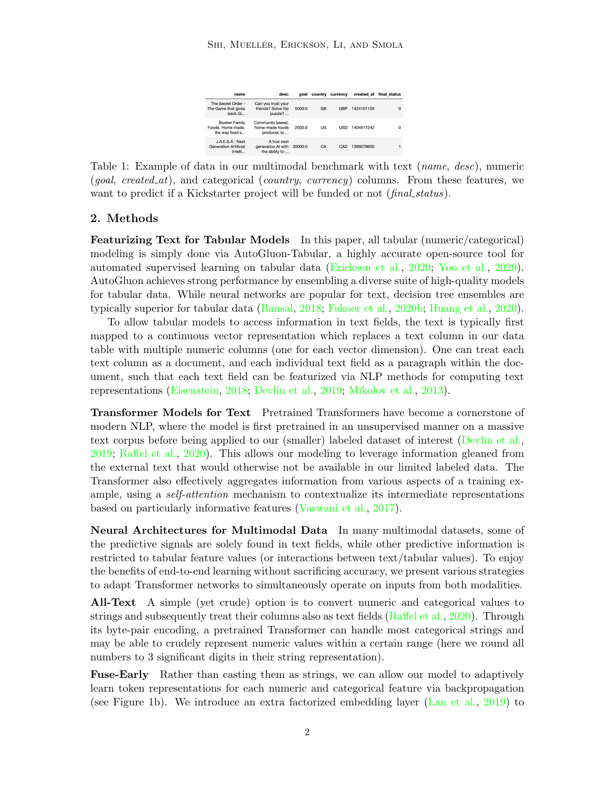| name                                                        | desc                                                | qoal    | country   | currency   |            | created at final status |
|-------------------------------------------------------------|-----------------------------------------------------|---------|-----------|------------|------------|-------------------------|
| The Secret Order -<br>The Game that gives<br>hack GL.       | Can you trust your<br>friends? Solve the<br>puzzle? | 5000.0  | <b>GB</b> | GBP        | 1424101105 | $\Omega$                |
| Booker Family<br>Foods. Home made.<br>the way food s        | Community based,<br>home-made-foods<br>producer, to | 2500.0  | US        | <b>USD</b> | 1404617242 | 0                       |
| J.A.E.S.A : Next<br><b>Generation Artificial</b><br>Intelli | A true next<br>generation AI with<br>the ability to | 30000.0 | CA        | CAD        | 1399078600 |                         |

<span id="page-1-0"></span>Table 1: Example of data in our multimodal benchmark with text *(name, desc)*, numeric  $(goal, created_at)$ , and categorical  $(country, currentcy)$  columns. From these features, we want to predict if a Kickstarter project will be funded or not (final status).

## 2. Methods

Featurizing Text for Tabular Models In this paper, all tabular (numeric/categorical) modeling is simply done via AutoGluon-Tabular, a highly accurate open-source tool for automated supervised learning on tabular data [\(Erickson et al.,](#page-12-4) [2020;](#page-12-4) [Yoo et al.,](#page-14-0) [2020\)](#page-14-0). AutoGluon achieves strong performance by ensembling a diverse suite of high-quality models for tabular data. While neural networks are popular for text, decision tree ensembles are typically superior for tabular data [\(Bansal,](#page-12-5) [2018;](#page-12-5) [Fakoor et al.,](#page-12-6) [2020b;](#page-12-6) [Huang et al.,](#page-12-7) [2020\)](#page-12-7).

To allow tabular models to access information in text fields, the text is typically first mapped to a continuous vector representation which replaces a text column in our data table with multiple numeric columns (one for each vector dimension). One can treat each text column as a document, and each individual text field as a paragraph within the document, such that each text field can be featurized via NLP methods for computing text representations [\(Eisenstein,](#page-12-2) [2018;](#page-12-2) [Devlin et al.,](#page-12-8) [2019;](#page-12-8) [Mikolov et al.,](#page-13-2) [2013\)](#page-13-2).

Transformer Models for Text Pretrained Transformers have become a cornerstone of modern NLP, where the model is first pretrained in an unsupervised manner on a massive text corpus before being applied to our (smaller) labeled dataset of interest [\(Devlin et al.,](#page-12-8) [2019;](#page-12-8) [Raffel et al.,](#page-13-3) [2020\)](#page-13-3). This allows our modeling to leverage information gleaned from the external text that would otherwise not be available in our limited labeled data. The Transformer also effectively aggregates information from various aspects of a training example, using a *self-attention* mechanism to contextualize its intermediate representations based on particularly informative features [\(Vaswani et al.,](#page-13-4) [2017\)](#page-13-4).

Neural Architectures for Multimodal Data In many multimodal datasets, some of the predictive signals are solely found in text fields, while other predictive information is restricted to tabular feature values (or interactions between text/tabular values). To enjoy the benefits of end-to-end learning without sacrificing accuracy, we present various strategies to adapt Transformer networks to simultaneously operate on inputs from both modalities.

All-Text A simple (yet crude) option is to convert numeric and categorical values to strings and subsequently treat their columns also as text fields [\(Raffel et al.,](#page-13-3) [2020\)](#page-13-3). Through its byte-pair encoding, a pretrained Transformer can handle most categorical strings and may be able to crudely represent numeric values within a certain range (here we round all numbers to 3 significant digits in their string representation).

Fuse-Early Rather than casting them as strings, we can allow our model to adaptively learn token representations for each numeric and categorical feature via backpropagation (see Figure [1b\)](#page-2-0). We introduce an extra factorized embedding layer [\(Lan et al.,](#page-13-5) [2019\)](#page-13-5) to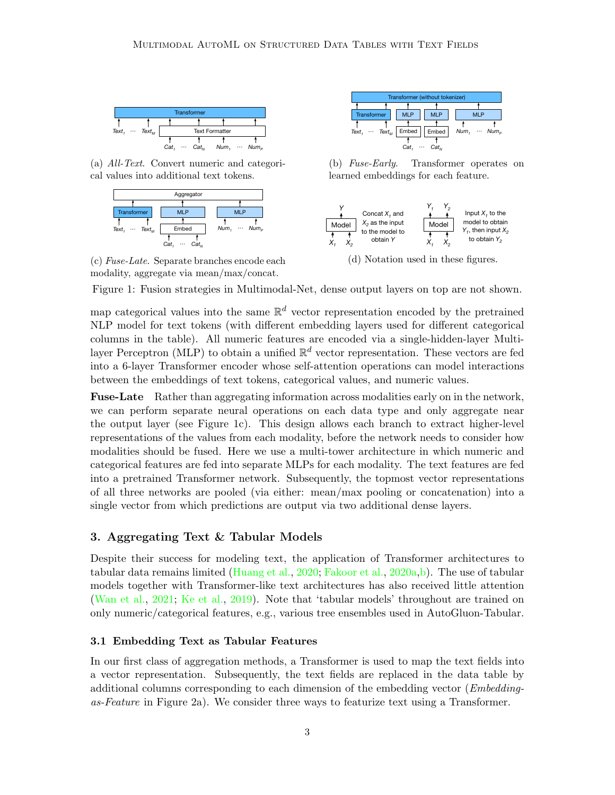<span id="page-2-0"></span>

(a) All-Text. Convert numeric and categorical values into additional text tokens.



modality, aggregate via mean/max/concat. (c) Fuse-Late. Separate branches encode each



(b) Fuse-Early. Transformer operates on *… Learned embeddings for each feature.* 



(d) Notation used in these figures.

Figure 1: Fusion strategies in Multimodal-Net, dense output layers on top are not shown.

map categorical values into the same  $\mathbb{R}^d$  vector representation encoded by the pretrained NLP model for text tokens (with different embedding layers used for different categorical columns in the table). All numeric features are encoded via a single-hidden-layer Multilayer Perceptron (MLP) to obtain a unified  $\mathbb{R}^d$  vector representation. These vectors are fed into a 6-layer Transformer encoder whose self-attention operations can model interactions between the embeddings of text tokens, categorical values, and numeric values.

Fuse-Late Rather than aggregating information across modalities early on in the network, we can perform separate neural operations on each data type and only aggregate near the output layer (see Figure [1c\)](#page-2-0). This design allows each branch to extract higher-level representations of the values from each modality, before the network needs to consider how modalities should be fused. Here we use a multi-tower architecture in which numeric and categorical features are fed into separate MLPs for each modality. The text features are fed into a pretrained Transformer network. Subsequently, the topmost vector representations of all three networks are pooled (via either: mean/max pooling or concatenation) into a single vector from which predictions are output via two additional dense layers.

## 3. Aggregating Text & Tabular Models

Despite their success for modeling text, the application of Transformer architectures to tabular data remains limited [\(Huang et al.,](#page-12-7) [2020;](#page-12-7) [Fakoor et al.,](#page-12-9) [2020a,](#page-12-9)[b\)](#page-12-6). The use of tabular models together with Transformer-like text architectures has also received little attention [\(Wan et al.,](#page-13-6) [2021;](#page-13-6) [Ke et al.,](#page-13-7) [2019\)](#page-13-7). Note that 'tabular models' throughout are trained on only numeric/categorical features, e.g., various tree ensembles used in AutoGluon-Tabular.

#### 3.1 Embedding Text as Tabular Features

In our first class of aggregation methods, a Transformer is used to map the text fields into a vector representation. Subsequently, the text fields are replaced in the data table by additional columns corresponding to each dimension of the embedding vector (*Embedding*as-Feature in Figure [2a\)](#page-3-0). We consider three ways to featurize text using a Transformer.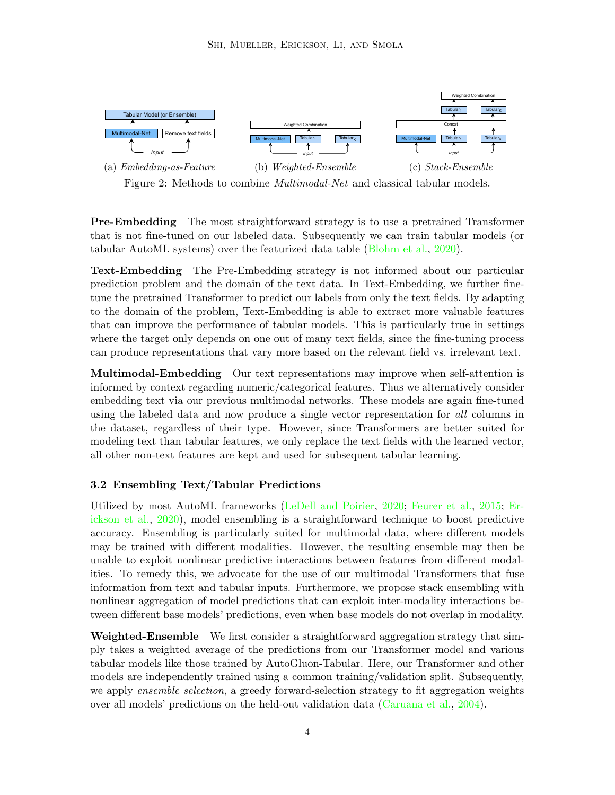<span id="page-3-0"></span>

Figure 2: Methods to combine Multimodal-Net and classical tabular models.

Pre-Embedding The most straightforward strategy is to use a pretrained Transformer that is not fine-tuned on our labeled data. Subsequently we can train tabular models (or *Input* tabular AutoML systems) over the featurized data table [\(Blohm et al.,](#page-12-10) [2020\)](#page-12-10).

where the target only depends on one out of many text fields, since the fine-tuning process can produce representations that vary more based on the relevant field vs. irrelevant text. to the domain of the problem, Text-Embedding is able to extract more valuable features tune the pretrained Transformer to predict our labels from only the text fields. By adapting Text-Embedding The Pre-Embedding strategy is not informed about our particular prediction problem and the domain of the text data. In Text-Embedding, we further finethat can improve the performance of tabular models. This is particularly true in settings

Multimodal-Embedding Our text representations may improve when self-attention is informed by context regarding numeric/categorical features. Thus we alternatively consider embedding text via our previous multimodal networks. These models are again fine-tuned using the labeled data and now produce a single vector representation for all columns in the dataset, regardless of their type. However, since Transformers are better suited for modeling text than tabular features, we only replace the text fields with the learned vector, all other non-text features are kept and used for subsequent tabular learning.

#### 3.2 Ensembling Text/Tabular Predictions

Utilized by most AutoML frameworks [\(LeDell and Poirier,](#page-13-8) [2020;](#page-13-8) [Feurer et al.,](#page-12-11) [2015;](#page-12-11) [Er](#page-12-4)[ickson et al.,](#page-12-4) [2020\)](#page-12-4), model ensembling is a straightforward technique to boost predictive accuracy. Ensembling is particularly suited for multimodal data, where different models may be trained with different modalities. However, the resulting ensemble may then be unable to exploit nonlinear predictive interactions between features from different modalities. To remedy this, we advocate for the use of our multimodal Transformers that fuse information from text and tabular inputs. Furthermore, we propose stack ensembling with nonlinear aggregation of model predictions that can exploit inter-modality interactions between different base models' predictions, even when base models do not overlap in modality.

Weighted-Ensemble We first consider a straightforward aggregation strategy that simply takes a weighted average of the predictions from our Transformer model and various tabular models like those trained by AutoGluon-Tabular. Here, our Transformer and other models are independently trained using a common training/validation split. Subsequently, we apply *ensemble selection*, a greedy forward-selection strategy to fit aggregation weights over all models' predictions on the held-out validation data [\(Caruana et al.,](#page-12-12) [2004\)](#page-12-12).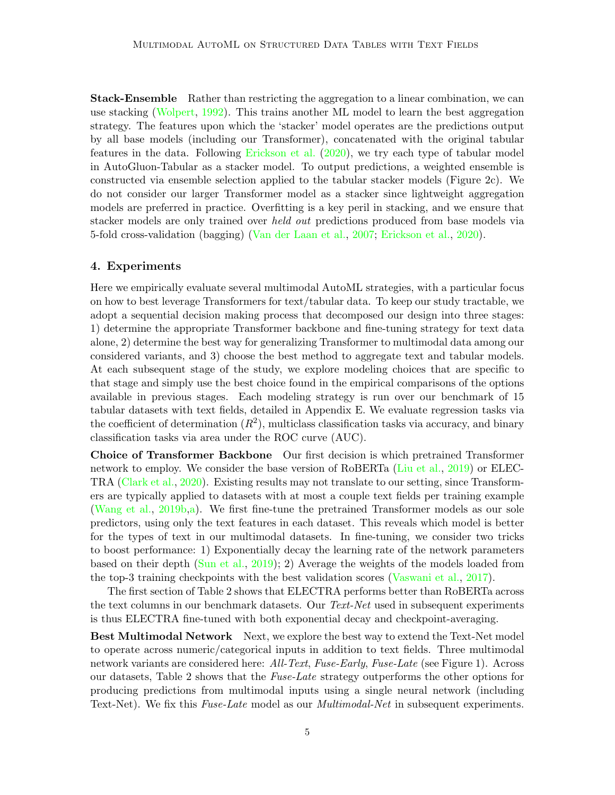Stack-Ensemble Rather than restricting the aggregation to a linear combination, we can use stacking [\(Wolpert,](#page-14-1) [1992\)](#page-14-1). This trains another ML model to learn the best aggregation strategy. The features upon which the 'stacker' model operates are the predictions output by all base models (including our Transformer), concatenated with the original tabular features in the data. Following [Erickson et al.](#page-12-4) [\(2020\)](#page-12-4), we try each type of tabular model in AutoGluon-Tabular as a stacker model. To output predictions, a weighted ensemble is constructed via ensemble selection applied to the tabular stacker models (Figure [2c\)](#page-3-0). We do not consider our larger Transformer model as a stacker since lightweight aggregation models are preferred in practice. Overfitting is a key peril in stacking, and we ensure that stacker models are only trained over *held out* predictions produced from base models via 5-fold cross-validation (bagging) [\(Van der Laan et al.,](#page-13-9) [2007;](#page-13-9) [Erickson et al.,](#page-12-4) [2020\)](#page-12-4).

#### <span id="page-4-0"></span>4. Experiments

Here we empirically evaluate several multimodal AutoML strategies, with a particular focus on how to best leverage Transformers for text/tabular data. To keep our study tractable, we adopt a sequential decision making process that decomposed our design into three stages: 1) determine the appropriate Transformer backbone and fine-tuning strategy for text data alone, 2) determine the best way for generalizing Transformer to multimodal data among our considered variants, and 3) choose the best method to aggregate text and tabular models. At each subsequent stage of the study, we explore modeling choices that are specific to that stage and simply use the best choice found in the empirical comparisons of the options available in previous stages. Each modeling strategy is run over our benchmark of 15 tabular datasets with text fields, detailed in Appendix [E.](#page-10-0) We evaluate regression tasks via the coefficient of determination  $(R^2)$ , multiclass classification tasks via accuracy, and binary classification tasks via area under the ROC curve (AUC).

Choice of Transformer Backbone Our first decision is which pretrained Transformer network to employ. We consider the base version of RoBERTa [\(Liu et al.,](#page-13-10) [2019\)](#page-13-10) or ELEC-TRA [\(Clark et al.,](#page-12-13) [2020\)](#page-12-13). Existing results may not translate to our setting, since Transformers are typically applied to datasets with at most a couple text fields per training example [\(Wang et al.,](#page-14-2) [2019b,](#page-14-2)[a\)](#page-14-3). We first fine-tune the pretrained Transformer models as our sole predictors, using only the text features in each dataset. This reveals which model is better for the types of text in our multimodal datasets. In fine-tuning, we consider two tricks to boost performance: 1) Exponentially decay the learning rate of the network parameters based on their depth [\(Sun et al.,](#page-13-11) [2019\)](#page-13-11); 2) Average the weights of the models loaded from the top-3 training checkpoints with the best validation scores [\(Vaswani et al.,](#page-13-4) [2017\)](#page-13-4).

The first section of Table [2](#page-5-0) shows that ELECTRA performs better than RoBERTa across the text columns in our benchmark datasets. Our Text-Net used in subsequent experiments is thus ELECTRA fine-tuned with both exponential decay and checkpoint-averaging.

**Best Multimodal Network** Next, we explore the best way to extend the Text-Net model to operate across numeric/categorical inputs in addition to text fields. Three multimodal network variants are considered here: All-Text, Fuse-Early, Fuse-Late (see Figure [1\)](#page-2-0). Across our datasets, Table [2](#page-5-0) shows that the Fuse-Late strategy outperforms the other options for producing predictions from multimodal inputs using a single neural network (including Text-Net). We fix this Fuse-Late model as our *Multimodal-Net* in subsequent experiments.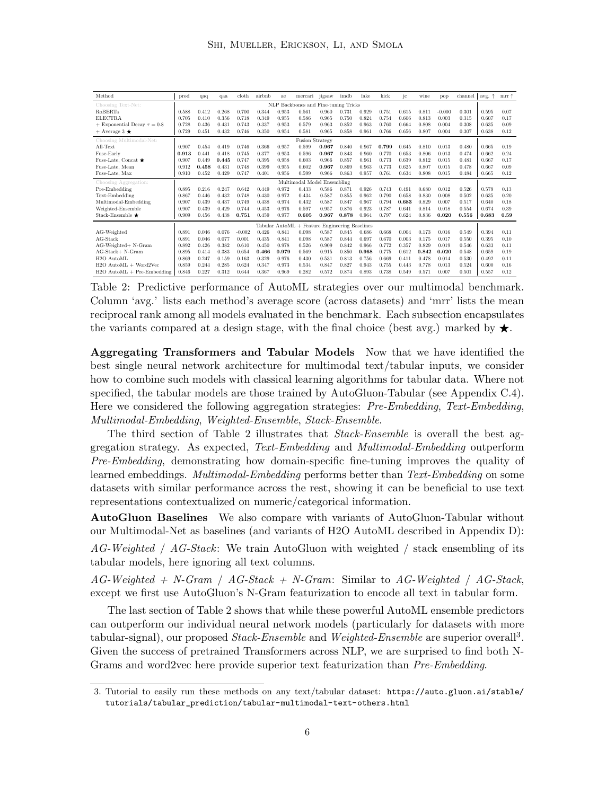<span id="page-5-0"></span>

| Method                                                     | prod  | qaq   | qaa   | cloth    | airbnb | ae    | mercari | jigsaw | imdb  | fake  | kick  | ic    | wine  | pop      | channel | ÷<br>avg. | $mrr$ $\uparrow$ |
|------------------------------------------------------------|-------|-------|-------|----------|--------|-------|---------|--------|-------|-------|-------|-------|-------|----------|---------|-----------|------------------|
| NLP Backbones and Fine-tuning Tricks<br>Choosing Text-Net: |       |       |       |          |        |       |         |        |       |       |       |       |       |          |         |           |                  |
| <b>RoBERTa</b>                                             | 0.588 | 0.412 | 0.268 | 0.700    | 0.344  | 0.953 | 0.561   | 0.960  | 0.731 | 0.929 | 0.751 | 0.615 | 0.811 | $-0.000$ | 0.301   | 0.595     | 0.07             |
| <b>ELECTRA</b>                                             | 0.705 | 0.410 | 0.356 | 0.718    | 0.349  | 0.955 | 0.586   | 0.965  | 0.750 | 0.824 | 0.754 | 0.606 | 0.813 | 0.003    | 0.315   | 0.607     | 0.17             |
| + Exponential Decay $\tau = 0.8$                           | 0.728 | 0.436 | 0.431 | 0.743    | 0.337  | 0.953 | 0.579   | 0.963  | 0.852 | 0.963 | 0.760 | 0.664 | 0.808 | 0.004    | 0.308   | 0.635     | 0.09             |
| $+$ Average 3 $\star$                                      | 0.729 | 0.451 | 0.432 | 0.746    | 0.350  | 0.954 | 0.581   | 0.965  | 0.858 | 0.961 | 0.766 | 0.656 | 0.807 | 0.004    | 0.307   | 0.638     | 0.12             |
| <b>Fusion Strategy</b><br>Choosing Multimodal-Net:         |       |       |       |          |        |       |         |        |       |       |       |       |       |          |         |           |                  |
| All-Text                                                   | 0.907 | 0.454 | 0.419 | 0.746    | 0.366  | 0.957 | 0.599   | 0.967  | 0.840 | 0.967 | 0.799 | 0.645 | 0.810 | 0.013    | 0.480   | 0.665     | 0.19             |
| Fuse-Early                                                 | 0.913 | 0.441 | 0.418 | 0.745    | 0.377  | 0.953 | 0.596   | 0.967  | 0.843 | 0.960 | 0.770 | 0.653 | 0.806 | 0.013    | 0.474   | 0.662     | 0.24             |
| Fuse-Late, Concat $\bigstar$                               | 0.907 | 0.449 | 0.445 | 0.747    | 0.395  | 0.958 | 0.603   | 0.966  | 0.857 | 0.961 | 0.773 | 0.639 | 0.812 | 0.015    | 0.481   | 0.667     | 0.17             |
| Fuse-Late, Mean                                            | 0.912 | 0.458 | 0.431 | 0.748    | 0.399  | 0.955 | 0.602   | 0.967  | 0.869 | 0.963 | 0.773 | 0.625 | 0.807 | 0.015    | 0.478   | 0.667     | 0.09             |
| Fuse-Late, Max                                             | 0.910 | 0.452 | 0.429 | 0.747    | 0.401  | 0.956 | 0.599   | 0.966  | 0.863 | 0.957 | 0.761 | 0.634 | 0.808 | 0.015    | 0.484   | 0.665     | 0.12             |
| Multimodal Model Ensembling<br>Choosing Aggregation:       |       |       |       |          |        |       |         |        |       |       |       |       |       |          |         |           |                  |
| Pre-Embedding                                              | 0.895 | 0.216 | 0.247 | 0.642    | 0.449  | 0.972 | 0.433   | 0.586  | 0.871 | 0.926 | 0.743 | 0.491 | 0.680 | 0.012    | 0.526   | 0.579     | 0.13             |
| Text-Embedding                                             | 0.867 | 0.446 | 0.432 | 0.748    | 0.430  | 0.972 | 0.434   | 0.587  | 0.855 | 0.962 | 0.790 | 0.658 | 0.830 | 0.008    | 0.502   | 0.635     | 0.20             |
| Multimodal-Embedding                                       | 0.907 | 0.439 | 0.437 | 0.749    | 0.438  | 0.974 | 0.432   | 0.587  | 0.847 | 0.967 | 0.794 | 0.683 | 0.829 | 0.007    | 0.517   | 0.640     | 0.18             |
| Weighted-Ensemble                                          | 0.907 | 0.439 | 0.429 | 0.744    | 0.453  | 0.976 | 0.597   | 0.957  | 0.876 | 0.923 | 0.787 | 0.641 | 0.814 | 0.018    | 0.554   | 0.674     | 0.39             |
| Stack-Ensemble $\bigstar$                                  | 0.909 | 0.456 | 0.438 | 0.751    | 0.459  | 0.977 | 0.605   | 0.967  | 0.878 | 0.964 | 0.797 | 0.624 | 0.836 | 0.020    | 0.556   | 0.683     | 0.59             |
| Tabular AutoML + Feature Engineering Baselines             |       |       |       |          |        |       |         |        |       |       |       |       |       |          |         |           |                  |
| AG-Weighted                                                | 0.891 | 0.046 | 0.076 | $-0.002$ | 0.426  | 0.841 | 0.098   | 0.587  | 0.845 | 0.686 | 0.668 | 0.004 | 0.173 | 0.016    | 0.549   | 0.394     | 0.11             |
| $AG-Stack$                                                 | 0.891 | 0.046 | 0.077 | 0.001    | 0.435  | 0.841 | 0.098   | 0.587  | 0.844 | 0.697 | 0.670 | 0.003 | 0.175 | 0.017    | 0.550   | 0.395     | 0.10             |
| AG-Weighted+ N-Gram                                        | 0.892 | 0.426 | 0.382 | 0.610    | 0.450  | 0.978 | 0.526   | 0.909  | 0.842 | 0.966 | 0.772 | 0.357 | 0.829 | 0.019    | 0.546   | 0.633     | 0.11             |
| $AG-Stack+N-Gram$                                          | 0.895 | 0.414 | 0.383 | 0.654    | 0.466  | 0.979 | 0.569   | 0.915  | 0.850 | 0.968 | 0.775 | 0.612 | 0.842 | 0.020    | 0.548   | 0.659     | 0.19             |
| H <sub>2</sub> O AutoML                                    | 0.869 | 0.247 | 0.159 | 0.163    | 0.329  | 0.976 | 0.430   | 0.531  | 0.813 | 0.756 | 0.669 | 0.411 | 0.478 | 0.014    | 0.530   | 0.492     | 0.11             |
| $H2O$ AutoML + Word2Vec                                    | 0.859 | 0.244 | 0.285 | 0.624    | 0.347  | 0.973 | 0.534   | 0.847  | 0.827 | 0.943 | 0.755 | 0.443 | 0.778 | 0.013    | 0.524   | 0.600     | 0.16             |
| $H2O$ AutoML $+$ Pre-Embedding                             | 0.846 | 0.227 | 0.312 | 0.644    | 0.367  | 0.969 | 0.282   | 0.572  | 0.874 | 0.893 | 0.738 | 0.549 | 0.571 | 0.007    | 0.501   | 0.557     | 0.12             |

Table 2: Predictive performance of AutoML strategies over our multimodal benchmark. Column 'avg.' lists each method's average score (across datasets) and 'mrr' lists the mean reciprocal rank among all models evaluated in the benchmark. Each subsection encapsulates the variants compared at a design stage, with the final choice (best avg.) marked by  $\star$ .

Aggregating Transformers and Tabular Models Now that we have identified the best single neural network architecture for multimodal text/tabular inputs, we consider how to combine such models with classical learning algorithms for tabular data. Where not specified, the tabular models are those trained by AutoGluon-Tabular (see Appendix [C.4\)](#page-8-0). Here we considered the following aggregation strategies: Pre-Embedding, Text-Embedding, Multimodal-Embedding, Weighted-Ensemble, Stack-Ensemble.

The third section of Table [2](#page-5-0) illustrates that Stack-Ensemble is overall the best aggregation strategy. As expected, Text-Embedding and Multimodal-Embedding outperform Pre-Embedding, demonstrating how domain-specific fine-tuning improves the quality of learned embeddings. *Multimodal-Embedding* performs better than *Text-Embedding* on some datasets with similar performance across the rest, showing it can be beneficial to use text representations contextualized on numeric/categorical information.

AutoGluon Baselines We also compare with variants of AutoGluon-Tabular without our Multimodal-Net as baselines (and variants of H2O AutoML described in Appendix [D\)](#page-4-0):

 $AG-Weiahted / AG-Stack:$  We train AutoGluon with weighted / stack ensembling of its tabular models, here ignoring all text columns.

 $AG-Weighted + N-Gram / AG-Stack + N-Gram$ : Similar to  $AG-Weighted / AG-Stack$ , except we first use AutoGluon's N-Gram featurization to encode all text in tabular form.

The last section of Table [2](#page-5-0) shows that while these powerful AutoML ensemble predictors can outperform our individual neural network models (particularly for datasets with more tabular-signal), our proposed *Stack-Ensemble* and *Weighted-Ensemble* are superior overall<sup>[3](#page-5-1)</sup>. Given the success of pretrained Transformers across NLP, we are surprised to find both N-Grams and word2vec here provide superior text featurization than Pre-Embedding.

<span id="page-5-1"></span><sup>3.</sup> Tutorial to easily run these methods on any text/tabular dataset: [https://auto.gluon.ai/stable/](https://auto.gluon.ai/stable/tutorials/tabular_prediction/tabular-multimodal-text-others.html) [tutorials/tabular\\_prediction/tabular-multimodal-text-others.html](https://auto.gluon.ai/stable/tutorials/tabular_prediction/tabular-multimodal-text-others.html)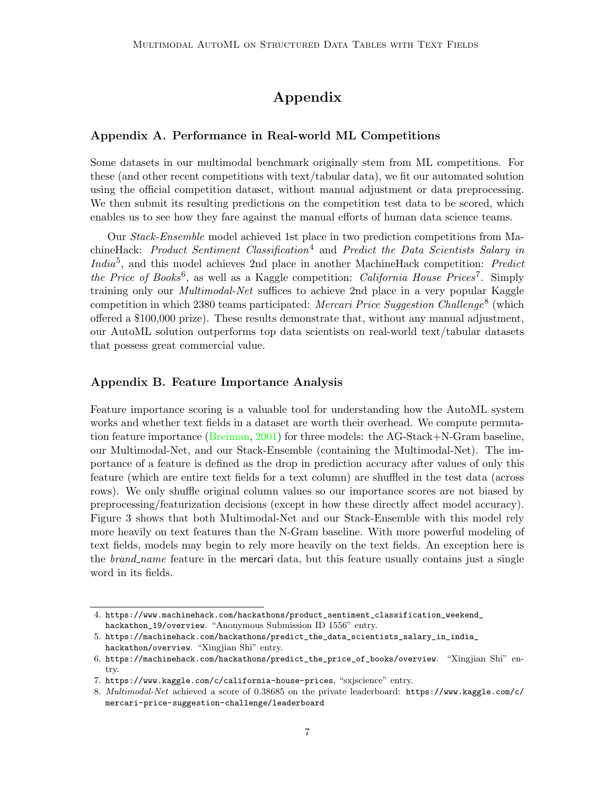# Appendix

## Appendix A. Performance in Real-world ML Competitions

Some datasets in our multimodal benchmark originally stem from ML competitions. For these (and other recent competitions with text/tabular data), we fit our automated solution using the official competition dataset, without manual adjustment or data preprocessing. We then submit its resulting predictions on the competition test data to be scored, which enables us to see how they fare against the manual efforts of human data science teams.

Our Stack-Ensemble model achieved 1st place in two prediction competitions from Ma-chineHack: Product Sentiment Classification<sup>[4](#page-6-0)</sup> and Predict the Data Scientists Salary in India<sup>[5](#page-6-1)</sup>, and this model achieves 2nd place in another MachineHack competition: Predict the Price of Books<sup>[6](#page-6-2)</sup>, as well as a Kaggle competition: California House Prices<sup>[7](#page-6-3)</sup>. Simply training only our Multimodal-Net suffices to achieve 2nd place in a very popular Kaggle competition in which 23[8](#page-6-4)0 teams participated: Mercari Price Suggestion Challenge<sup>8</sup> (which offered a \$100,000 prize). These results demonstrate that, without any manual adjustment, our AutoML solution outperforms top data scientists on real-world text/tabular datasets that possess great commercial value.

#### Appendix B. Feature Importance Analysis

Feature importance scoring is a valuable tool for understanding how the AutoML system works and whether text fields in a dataset are worth their overhead. We compute permutation feature importance [\(Breiman,](#page-12-14) [2001\)](#page-12-14) for three models: the AG-Stack+N-Gram baseline, our Multimodal-Net, and our Stack-Ensemble (containing the Multimodal-Net). The importance of a feature is defined as the drop in prediction accuracy after values of only this feature (which are entire text fields for a text column) are shuffled in the test data (across rows). We only shuffle original column values so our importance scores are not biased by preprocessing/featurization decisions (except in how these directly affect model accuracy). Figure [3](#page-7-0) shows that both Multimodal-Net and our Stack-Ensemble with this model rely more heavily on text features than the N-Gram baseline. With more powerful modeling of text fields, models may begin to rely more heavily on the text fields. An exception here is the *brand\_name* feature in the mercari data, but this feature usually contains just a single word in its fields.

<span id="page-6-0"></span><sup>4.</sup> [https://www.machinehack.com/hackathons/product\\_sentiment\\_classification\\_weekend\\_](https://www.machinehack.com/hackathons/product_sentiment_classification_weekend_hackathon_19/overview) [hackathon\\_19/overview](https://www.machinehack.com/hackathons/product_sentiment_classification_weekend_hackathon_19/overview). "Anonymous Submission ID 1556" entry.

<span id="page-6-1"></span><sup>5.</sup> [https://machinehack.com/hackathons/predict\\_the\\_data\\_scientists\\_salary\\_in\\_india\\_](https://machinehack.com/hackathons/predict_the_data_scientists_salary_in_india_hackathon/overview) [hackathon/overview](https://machinehack.com/hackathons/predict_the_data_scientists_salary_in_india_hackathon/overview). "Xingjian Shi" entry.

<span id="page-6-2"></span><sup>6.</sup> [https://machinehack.com/hackathons/predict\\_the\\_price\\_of\\_books/overview](https://machinehack.com/hackathons/predict_the_price_of_books/overview). "Xingjian Shi" entry.

<span id="page-6-3"></span><sup>7.</sup> <https://www.kaggle.com/c/california-house-prices>, "sxjscience" entry.

<span id="page-6-4"></span><sup>8.</sup> Multimodal-Net achieved a score of 0.38685 on the private leaderboard: [https://www.kaggle.com/c/](https://www.kaggle.com/c/mercari-price-suggestion-challenge/leaderboard) [mercari-price-suggestion-challenge/leaderboard](https://www.kaggle.com/c/mercari-price-suggestion-challenge/leaderboard)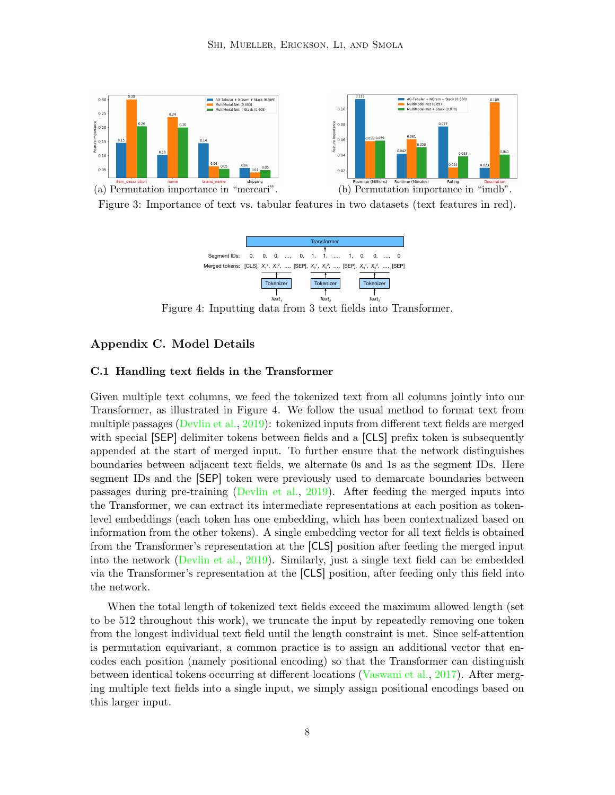<span id="page-7-0"></span>

<span id="page-7-1"></span>



Figure 4: Inputting data from 3 text fields into Transformer.

## Appendix C. Model Details

#### C.1 Handling text fields in the Transformer

Given multiple text columns, we feed the tokenized text from all columns jointly into our Transformer, as illustrated in Figure [4.](#page-7-1) We follow the usual method to format text from multiple passages [\(Devlin et al.,](#page-12-8) [2019\)](#page-12-8): tokenized inputs from different text fields are merged with special  $[SEP]$  delimiter tokens between fields and a  $[CLS]$  prefix token is subsequently appended at the start of merged input. To further ensure that the network distinguishes boundaries between adjacent text fields, we alternate 0s and 1s as the segment IDs. Here segment IDs and the [SEP] token were previously used to demarcate boundaries between passages during pre-training [\(Devlin et al.,](#page-12-8) [2019\)](#page-12-8). After feeding the merged inputs into the Transformer, we can extract its intermediate representations at each position as tokenlevel embeddings (each token has one embedding, which has been contextualized based on information from the other tokens). A single embedding vector for all text fields is obtained from the Transformer's representation at the [CLS] position after feeding the merged input into the network [\(Devlin et al.,](#page-12-8) [2019\)](#page-12-8). Similarly, just a single text field can be embedded via the Transformer's representation at the [CLS] position, after feeding only this field into the network.

When the total length of tokenized text fields exceed the maximum allowed length (set to be 512 throughout this work), we truncate the input by repeatedly removing one token from the longest individual text field until the length constraint is met. Since self-attention is permutation equivariant, a common practice is to assign an additional vector that encodes each position (namely positional encoding) so that the Transformer can distinguish between identical tokens occurring at different locations [\(Vaswani et al.,](#page-13-4) [2017\)](#page-13-4). After merging multiple text fields into a single input, we simply assign positional encodings based on this larger input.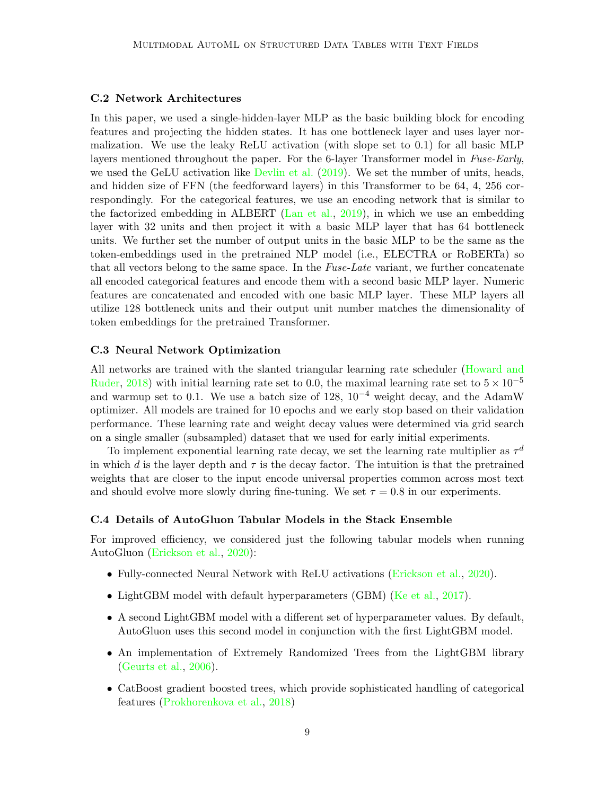#### C.2 Network Architectures

In this paper, we used a single-hidden-layer MLP as the basic building block for encoding features and projecting the hidden states. It has one bottleneck layer and uses layer normalization. We use the leaky ReLU activation (with slope set to 0.1) for all basic MLP layers mentioned throughout the paper. For the 6-layer Transformer model in Fuse-Early, we used the GeLU activation like [Devlin et al.](#page-12-8) [\(2019\)](#page-12-8). We set the number of units, heads, and hidden size of FFN (the feedforward layers) in this Transformer to be 64, 4, 256 correspondingly. For the categorical features, we use an encoding network that is similar to the factorized embedding in ALBERT [\(Lan et al.,](#page-13-5) [2019\)](#page-13-5), in which we use an embedding layer with 32 units and then project it with a basic MLP layer that has 64 bottleneck units. We further set the number of output units in the basic MLP to be the same as the token-embeddings used in the pretrained NLP model (i.e., ELECTRA or RoBERTa) so that all vectors belong to the same space. In the Fuse-Late variant, we further concatenate all encoded categorical features and encode them with a second basic MLP layer. Numeric features are concatenated and encoded with one basic MLP layer. These MLP layers all utilize 128 bottleneck units and their output unit number matches the dimensionality of token embeddings for the pretrained Transformer.

#### C.3 Neural Network Optimization

All networks are trained with the slanted triangular learning rate scheduler [\(Howard and](#page-12-15) [Ruder,](#page-12-15) [2018\)](#page-12-15) with initial learning rate set to 0.0, the maximal learning rate set to  $5 \times 10^{-5}$ and warmup set to 0.1. We use a batch size of 128,  $10^{-4}$  weight decay, and the AdamW optimizer. All models are trained for 10 epochs and we early stop based on their validation performance. These learning rate and weight decay values were determined via grid search on a single smaller (subsampled) dataset that we used for early initial experiments.

To implement exponential learning rate decay, we set the learning rate multiplier as  $\tau$ <sup>d</sup> in which d is the layer depth and  $\tau$  is the decay factor. The intuition is that the pretrained weights that are closer to the input encode universal properties common across most text and should evolve more slowly during fine-tuning. We set  $\tau = 0.8$  in our experiments.

#### <span id="page-8-0"></span>C.4 Details of AutoGluon Tabular Models in the Stack Ensemble

For improved efficiency, we considered just the following tabular models when running AutoGluon [\(Erickson et al.,](#page-12-4) [2020\)](#page-12-4):

- Fully-connected Neural Network with ReLU activations [\(Erickson et al.,](#page-12-4) [2020\)](#page-12-4).
- LightGBM model with default hyperparameters (GBM) [\(Ke et al.,](#page-13-12) [2017\)](#page-13-12).
- A second LightGBM model with a different set of hyperparameter values. By default, AutoGluon uses this second model in conjunction with the first LightGBM model.
- An implementation of Extremely Randomized Trees from the LightGBM library [\(Geurts et al.,](#page-12-16) [2006\)](#page-12-16).
- CatBoost gradient boosted trees, which provide sophisticated handling of categorical features [\(Prokhorenkova et al.,](#page-13-13) [2018\)](#page-13-13)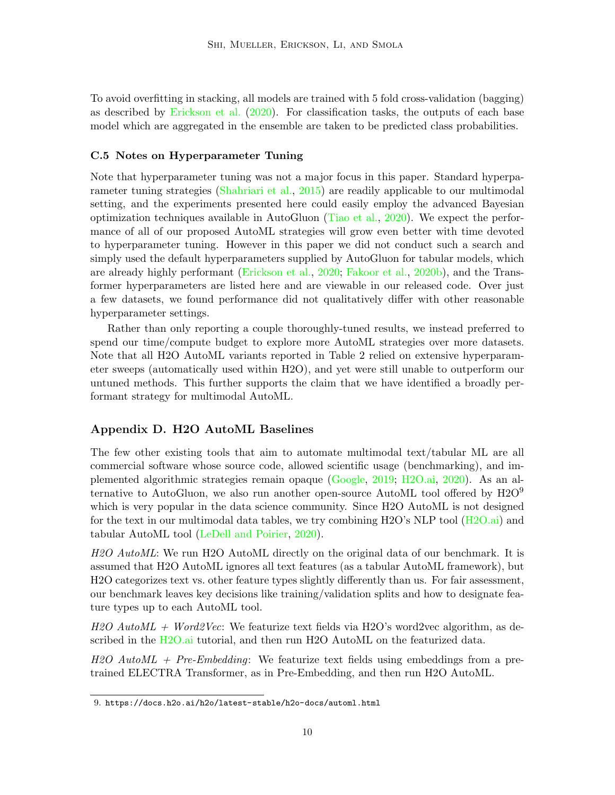To avoid overfitting in stacking, all models are trained with 5 fold cross-validation (bagging) as described by [Erickson et al.](#page-12-4) [\(2020\)](#page-12-4). For classification tasks, the outputs of each base model which are aggregated in the ensemble are taken to be predicted class probabilities.

#### C.5 Notes on Hyperparameter Tuning

Note that hyperparameter tuning was not a major focus in this paper. Standard hyperparameter tuning strategies [\(Shahriari et al.,](#page-13-14) [2015\)](#page-13-14) are readily applicable to our multimodal setting, and the experiments presented here could easily employ the advanced Bayesian optimization techniques available in AutoGluon [\(Tiao et al.,](#page-13-15) [2020\)](#page-13-15). We expect the performance of all of our proposed AutoML strategies will grow even better with time devoted to hyperparameter tuning. However in this paper we did not conduct such a search and simply used the default hyperparameters supplied by AutoGluon for tabular models, which are already highly performant [\(Erickson et al.,](#page-12-4) [2020;](#page-12-4) [Fakoor et al.,](#page-12-6) [2020b\)](#page-12-6), and the Transformer hyperparameters are listed here and are viewable in our released code. Over just a few datasets, we found performance did not qualitatively differ with other reasonable hyperparameter settings.

Rather than only reporting a couple thoroughly-tuned results, we instead preferred to spend our time/compute budget to explore more AutoML strategies over more datasets. Note that all H2O AutoML variants reported in Table [2](#page-5-0) relied on extensive hyperparameter sweeps (automatically used within H2O), and yet were still unable to outperform our untuned methods. This further supports the claim that we have identified a broadly performant strategy for multimodal AutoML.

#### Appendix D. H2O AutoML Baselines

The few other existing tools that aim to automate multimodal text/tabular ML are all commercial software whose source code, allowed scientific usage (benchmarking), and implemented algorithmic strategies remain opaque [\(Google,](#page-12-17) [2019;](#page-12-17) [H2O.ai,](#page-12-18) [2020\)](#page-12-18). As an alternative to AutoGluon, we also run another open-source AutoML tool offered by  $H2O<sup>9</sup>$  $H2O<sup>9</sup>$  $H2O<sup>9</sup>$ which is very popular in the data science community. Since H2O AutoML is not designed for the text in our multimodal data tables, we try combining H2O's NLP tool [\(H2O.ai\)](#page-12-3) and tabular AutoML tool [\(LeDell and Poirier,](#page-13-8) [2020\)](#page-13-8).

H<sub>2</sub>O AutoML: We run H<sub>2</sub>O AutoML directly on the original data of our benchmark. It is assumed that H2O AutoML ignores all text features (as a tabular AutoML framework), but H2O categorizes text vs. other feature types slightly differently than us. For fair assessment, our benchmark leaves key decisions like training/validation splits and how to designate feature types up to each AutoML tool.

 $H2O$  AutoML + Word2Vec: We featurize text fields via H2O's word2vec algorithm, as described in the H<sub>2</sub>O.ai tutorial, and then run H<sub>2</sub>O AutoML on the featurized data.

 $H2O$  AutoML + Pre-Embedding: We featurize text fields using embeddings from a pretrained ELECTRA Transformer, as in Pre-Embedding, and then run H2O AutoML.

<span id="page-9-0"></span><sup>9.</sup> <https://docs.h2o.ai/h2o/latest-stable/h2o-docs/automl.html>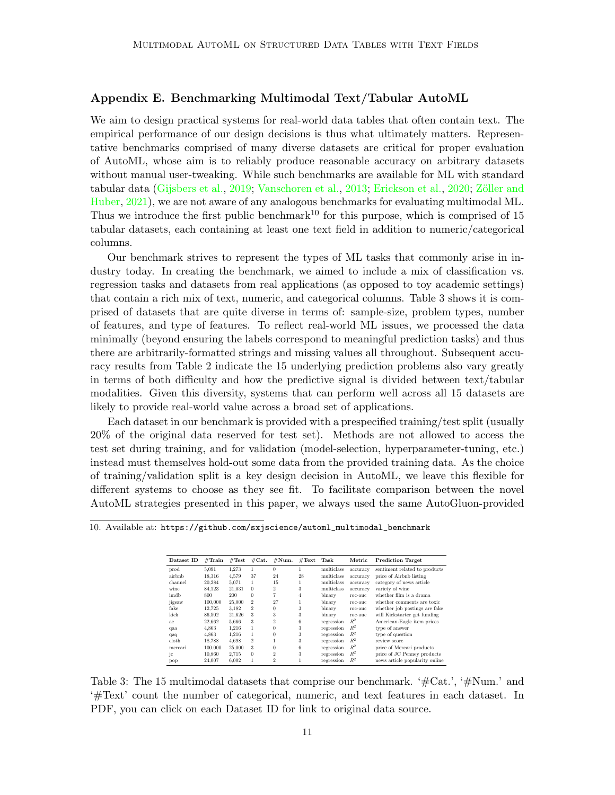#### <span id="page-10-0"></span>Appendix E. Benchmarking Multimodal Text/Tabular AutoML

We aim to design practical systems for real-world data tables that often contain text. The empirical performance of our design decisions is thus what ultimately matters. Representative benchmarks comprised of many diverse datasets are critical for proper evaluation of AutoML, whose aim is to reliably produce reasonable accuracy on arbitrary datasets without manual user-tweaking. While such benchmarks are available for ML with standard tabular data [\(Gijsbers et al.,](#page-12-1) [2019;](#page-12-1) [Vanschoren et al.,](#page-13-16) [2013;](#page-13-16) [Erickson et al.,](#page-12-4) [2020;](#page-12-4) Zöller and [Huber,](#page-14-4) [2021\)](#page-14-4), we are not aware of any analogous benchmarks for evaluating multimodal ML. Thus we introduce the first public benchmark<sup>[10](#page-10-1)</sup> for this purpose, which is comprised of 15 tabular datasets, each containing at least one text field in addition to numeric/categorical columns.

Our benchmark strives to represent the types of ML tasks that commonly arise in industry today. In creating the benchmark, we aimed to include a mix of classification vs. regression tasks and datasets from real applications (as opposed to toy academic settings) that contain a rich mix of text, numeric, and categorical columns. Table [3](#page-10-2) shows it is comprised of datasets that are quite diverse in terms of: sample-size, problem types, number of features, and type of features. To reflect real-world ML issues, we processed the data minimally (beyond ensuring the labels correspond to meaningful prediction tasks) and thus there are arbitrarily-formatted strings and missing values all throughout. Subsequent accuracy results from Table [2](#page-5-0) indicate the 15 underlying prediction problems also vary greatly in terms of both difficulty and how the predictive signal is divided between text/tabular modalities. Given this diversity, systems that can perform well across all 15 datasets are likely to provide real-world value across a broad set of applications.

Each dataset in our benchmark is provided with a prespecified training/test split (usually 20% of the original data reserved for test set). Methods are not allowed to access the test set during training, and for validation (model-selection, hyperparameter-tuning, etc.) instead must themselves hold-out some data from the provided training data. As the choice of training/validation split is a key design decision in AutoML, we leave this flexible for different systems to choose as they see fit. To facilitate comparison between the novel AutoML strategies presented in this paper, we always used the same AutoGluon-provided

| Dataset ID | #Train  | #Test  | #Cat.          | $\#\mathrm{Num}.$ | #Text          | Task       | Metric   | <b>Prediction Target</b>       |
|------------|---------|--------|----------------|-------------------|----------------|------------|----------|--------------------------------|
| prod       | 5.091   | 1.273  | 1              | $\bf{0}$          |                | multiclass | accuracy | sentiment related to products  |
| airbnb     | 18.316  | 4.579  | 37             | 24                | 28             | multiclass | accuracy | price of Airbnb listing        |
| channel    | 20,284  | 5,071  | 1              | 15                |                | multiclass | accuracy | category of news article       |
| wine       | 84.123  | 21.031 | $\Omega$       | $\overline{2}$    | 3              | multiclass | accuracy | variety of wine                |
| imdb       | 800     | 200    | $\Omega$       | 7                 | $\overline{4}$ | binary     | roc-auc  | whether film is a drama        |
| jigsaw     | 100,000 | 25,000 | $\mathfrak{D}$ | 27                |                | binary     | roc-auc  | whether comments are toxic     |
| fake       | 12.725  | 3,182  | $\mathfrak{D}$ | $\theta$          | 3              | binary     | roc-auc  | whether job postings are fake  |
| kick       | 86,502  | 21.626 | 3              | 3                 | 3              | binary     | roc-auc  | will Kickstarter get funding   |
| ae         | 22.662  | 5.666  | 3              | $\overline{2}$    | 6              | regression | $R^2$    | American-Eagle item prices     |
| qaa        | 4,863   | 1.216  | 1              | $\theta$          | 3              | regression | $R^2$    | type of answer                 |
| qaq        | 4.863   | 1.216  | 1              | $\Omega$          | 3              | regression | $R^2$    | type of question               |
| cloth      | 18.788  | 4.698  | $\overline{2}$ |                   | 3              | regression | $R^2$    | review score                   |
| mercari    | 100,000 | 25,000 | 3              | 0                 | 6              | regression | $R^2$    | price of Mercari products      |
| jс         | 10,860  | 2,715  | $\Omega$       | $\overline{2}$    | 3              | regression | $R^2$    | price of JC Penney products    |
| pop        | 24.007  | 6.002  | 1              | $^{2}$            |                | regression | $R^2$    | news article popularity online |

<span id="page-10-2"></span><span id="page-10-1"></span>10. Available at: [https://github.com/sxjscience/automl\\_multimodal\\_benchmark](https://github.com/sxjscience/automl_multimodal_benchmark)

Table 3: The 15 multimodal datasets that comprise our benchmark. '#Cat.', '#Num.' and '#Text' count the number of categorical, numeric, and text features in each dataset. In PDF, you can click on each Dataset ID for link to original data source.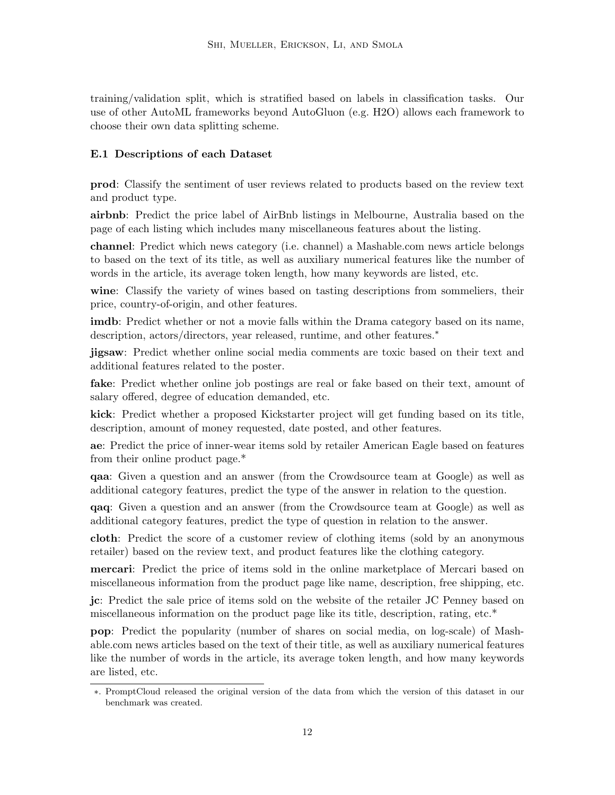training/validation split, which is stratified based on labels in classification tasks. Our use of other AutoML frameworks beyond AutoGluon (e.g. H2O) allows each framework to choose their own data splitting scheme.

## E.1 Descriptions of each Dataset

prod: Classify the sentiment of user reviews related to products based on the review text and product type.

airbnb: Predict the price label of AirBnb listings in Melbourne, Australia based on the page of each listing which includes many miscellaneous features about the listing.

channel: Predict which news category (i.e. channel) a Mashable.com news article belongs to based on the text of its title, as well as auxiliary numerical features like the number of words in the article, its average token length, how many keywords are listed, etc.

wine: Classify the variety of wines based on tasting descriptions from sommeliers, their price, country-of-origin, and other features.

imdb: Predict whether or not a movie falls within the Drama category based on its name, description, actors/directors, year released, runtime, and other features.<sup>[∗](#page-11-0)</sup>

jigsaw: Predict whether online social media comments are toxic based on their text and additional features related to the poster.

fake: Predict whether online job postings are real or fake based on their text, amount of salary offered, degree of education demanded, etc.

kick: Predict whether a proposed Kickstarter project will get funding based on its title, description, amount of money requested, date posted, and other features.

ae: Predict the price of inner-wear items sold by retailer American Eagle based on features from their online product page.\*

qaa: Given a question and an answer (from the Crowdsource team at Google) as well as additional category features, predict the type of the answer in relation to the question.

qaq: Given a question and an answer (from the Crowdsource team at Google) as well as additional category features, predict the type of question in relation to the answer.

cloth: Predict the score of a customer review of clothing items (sold by an anonymous retailer) based on the review text, and product features like the clothing category.

mercari: Predict the price of items sold in the online marketplace of Mercari based on miscellaneous information from the product page like name, description, free shipping, etc.

jc: Predict the sale price of items sold on the website of the retailer JC Penney based on miscellaneous information on the product page like its title, description, rating, etc.\*

pop: Predict the popularity (number of shares on social media, on log-scale) of Mashable.com news articles based on the text of their title, as well as auxiliary numerical features like the number of words in the article, its average token length, and how many keywords are listed, etc.

<span id="page-11-0"></span><sup>∗</sup>. PromptCloud released the original version of the data from which the version of this dataset in our benchmark was created.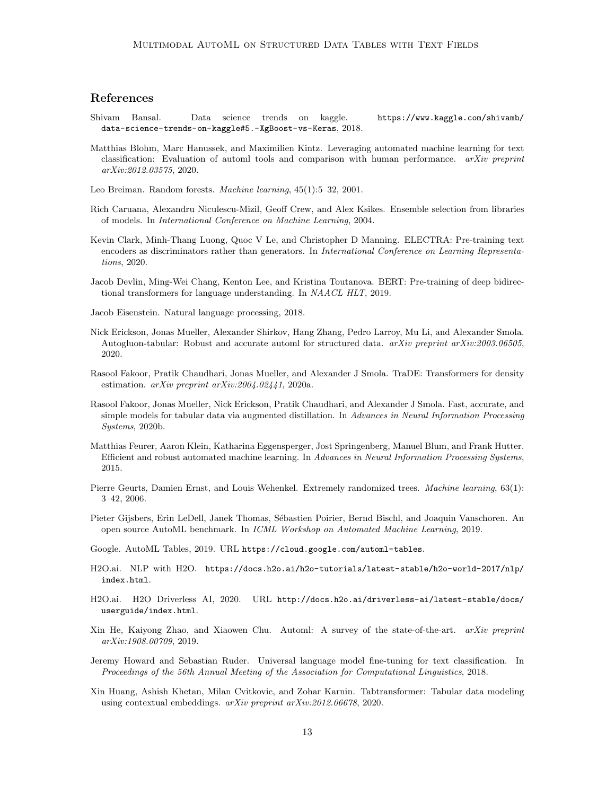## References

- <span id="page-12-5"></span>Shivam Bansal. Data science trends on kaggle. [https://www.kaggle.com/shivamb/](https://www.kaggle.com/shivamb/data-science-trends-on-kaggle#5.-XgBoost-vs-Keras) [data-science-trends-on-kaggle#5.-XgBoost-vs-Keras](https://www.kaggle.com/shivamb/data-science-trends-on-kaggle#5.-XgBoost-vs-Keras), 2018.
- <span id="page-12-10"></span>Matthias Blohm, Marc Hanussek, and Maximilien Kintz. Leveraging automated machine learning for text classification: Evaluation of automl tools and comparison with human performance. arXiv preprint arXiv:2012.03575, 2020.
- <span id="page-12-14"></span>Leo Breiman. Random forests. Machine learning, 45(1):5–32, 2001.
- <span id="page-12-12"></span>Rich Caruana, Alexandru Niculescu-Mizil, Geoff Crew, and Alex Ksikes. Ensemble selection from libraries of models. In International Conference on Machine Learning, 2004.
- <span id="page-12-13"></span>Kevin Clark, Minh-Thang Luong, Quoc V Le, and Christopher D Manning. ELECTRA: Pre-training text encoders as discriminators rather than generators. In International Conference on Learning Representations, 2020.
- <span id="page-12-8"></span>Jacob Devlin, Ming-Wei Chang, Kenton Lee, and Kristina Toutanova. BERT: Pre-training of deep bidirectional transformers for language understanding. In NAACL HLT, 2019.

<span id="page-12-2"></span>Jacob Eisenstein. Natural language processing, 2018.

- <span id="page-12-4"></span>Nick Erickson, Jonas Mueller, Alexander Shirkov, Hang Zhang, Pedro Larroy, Mu Li, and Alexander Smola. Autogluon-tabular: Robust and accurate automl for structured data. arXiv preprint arXiv:2003.06505, 2020.
- <span id="page-12-9"></span>Rasool Fakoor, Pratik Chaudhari, Jonas Mueller, and Alexander J Smola. TraDE: Transformers for density estimation. arXiv preprint arXiv:2004.02441, 2020a.
- <span id="page-12-6"></span>Rasool Fakoor, Jonas Mueller, Nick Erickson, Pratik Chaudhari, and Alexander J Smola. Fast, accurate, and simple models for tabular data via augmented distillation. In Advances in Neural Information Processing Systems, 2020b.
- <span id="page-12-11"></span>Matthias Feurer, Aaron Klein, Katharina Eggensperger, Jost Springenberg, Manuel Blum, and Frank Hutter. Efficient and robust automated machine learning. In Advances in Neural Information Processing Systems, 2015.
- <span id="page-12-16"></span>Pierre Geurts, Damien Ernst, and Louis Wehenkel. Extremely randomized trees. Machine learning, 63(1): 3–42, 2006.
- <span id="page-12-1"></span>Pieter Gijsbers, Erin LeDell, Janek Thomas, Sébastien Poirier, Bernd Bischl, and Joaquin Vanschoren. An open source AutoML benchmark. In ICML Workshop on Automated Machine Learning, 2019.
- <span id="page-12-17"></span>Google. AutoML Tables, 2019. URL <https://cloud.google.com/automl-tables>.
- <span id="page-12-3"></span>H2O.ai. NLP with H2O. [https://docs.h2o.ai/h2o-tutorials/latest-stable/h2o-world-2017/nlp/](https://docs.h2o.ai/h2o-tutorials/latest-stable/h2o-world-2017/nlp/index.html) [index.html](https://docs.h2o.ai/h2o-tutorials/latest-stable/h2o-world-2017/nlp/index.html).
- <span id="page-12-18"></span>H2O.ai. H2O Driverless AI, 2020. URL [http://docs.h2o.ai/driverless-ai/latest-stable/docs/](http://docs.h2o.ai/driverless-ai/latest-stable/docs/userguide/index.html) [userguide/index.html](http://docs.h2o.ai/driverless-ai/latest-stable/docs/userguide/index.html).
- <span id="page-12-0"></span>Xin He, Kaiyong Zhao, and Xiaowen Chu. Automl: A survey of the state-of-the-art. arXiv preprint arXiv:1908.00709, 2019.
- <span id="page-12-15"></span>Jeremy Howard and Sebastian Ruder. Universal language model fine-tuning for text classification. In Proceedings of the 56th Annual Meeting of the Association for Computational Linguistics, 2018.
- <span id="page-12-7"></span>Xin Huang, Ashish Khetan, Milan Cvitkovic, and Zohar Karnin. Tabtransformer: Tabular data modeling using contextual embeddings. arXiv preprint arXiv:2012.06678, 2020.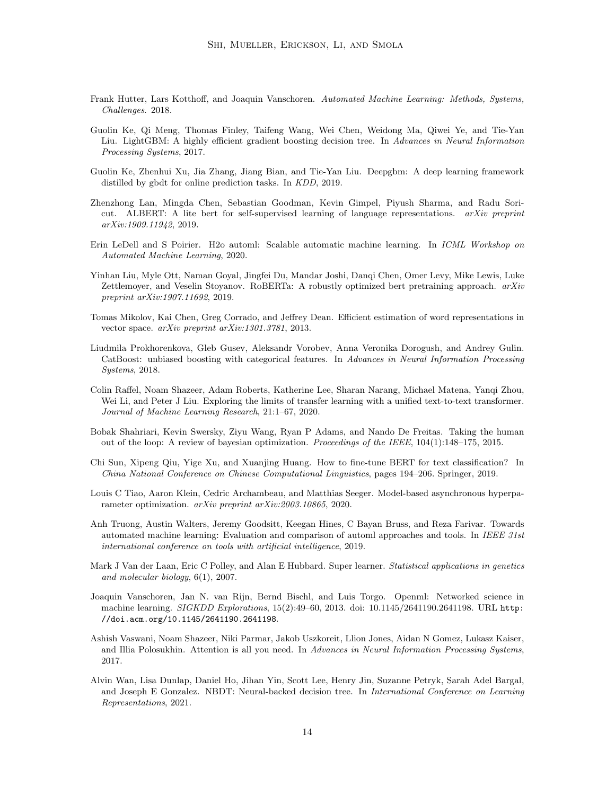- <span id="page-13-0"></span>Frank Hutter, Lars Kotthoff, and Joaquin Vanschoren. Automated Machine Learning: Methods, Systems, Challenges. 2018.
- <span id="page-13-12"></span>Guolin Ke, Qi Meng, Thomas Finley, Taifeng Wang, Wei Chen, Weidong Ma, Qiwei Ye, and Tie-Yan Liu. LightGBM: A highly efficient gradient boosting decision tree. In Advances in Neural Information Processing Systems, 2017.
- <span id="page-13-7"></span>Guolin Ke, Zhenhui Xu, Jia Zhang, Jiang Bian, and Tie-Yan Liu. Deepgbm: A deep learning framework distilled by gbdt for online prediction tasks. In KDD, 2019.
- <span id="page-13-5"></span>Zhenzhong Lan, Mingda Chen, Sebastian Goodman, Kevin Gimpel, Piyush Sharma, and Radu Soricut. ALBERT: A lite bert for self-supervised learning of language representations. arXiv preprint arXiv:1909.11942, 2019.
- <span id="page-13-8"></span>Erin LeDell and S Poirier. H2o automl: Scalable automatic machine learning. In ICML Workshop on Automated Machine Learning, 2020.
- <span id="page-13-10"></span>Yinhan Liu, Myle Ott, Naman Goyal, Jingfei Du, Mandar Joshi, Danqi Chen, Omer Levy, Mike Lewis, Luke Zettlemoyer, and Veselin Stoyanov. RoBERTa: A robustly optimized bert pretraining approach. arXiv preprint arXiv:1907.11692, 2019.
- <span id="page-13-2"></span>Tomas Mikolov, Kai Chen, Greg Corrado, and Jeffrey Dean. Efficient estimation of word representations in vector space. arXiv preprint arXiv:1301.3781, 2013.
- <span id="page-13-13"></span>Liudmila Prokhorenkova, Gleb Gusev, Aleksandr Vorobev, Anna Veronika Dorogush, and Andrey Gulin. CatBoost: unbiased boosting with categorical features. In Advances in Neural Information Processing Systems, 2018.
- <span id="page-13-3"></span>Colin Raffel, Noam Shazeer, Adam Roberts, Katherine Lee, Sharan Narang, Michael Matena, Yanqi Zhou, Wei Li, and Peter J Liu. Exploring the limits of transfer learning with a unified text-to-text transformer. Journal of Machine Learning Research, 21:1–67, 2020.
- <span id="page-13-14"></span>Bobak Shahriari, Kevin Swersky, Ziyu Wang, Ryan P Adams, and Nando De Freitas. Taking the human out of the loop: A review of bayesian optimization. Proceedings of the IEEE, 104(1):148–175, 2015.
- <span id="page-13-11"></span>Chi Sun, Xipeng Qiu, Yige Xu, and Xuanjing Huang. How to fine-tune BERT for text classification? In China National Conference on Chinese Computational Linguistics, pages 194–206. Springer, 2019.
- <span id="page-13-15"></span>Louis C Tiao, Aaron Klein, Cedric Archambeau, and Matthias Seeger. Model-based asynchronous hyperparameter optimization. arXiv preprint arXiv:2003.10865, 2020.
- <span id="page-13-1"></span>Anh Truong, Austin Walters, Jeremy Goodsitt, Keegan Hines, C Bayan Bruss, and Reza Farivar. Towards automated machine learning: Evaluation and comparison of automl approaches and tools. In IEEE 31st international conference on tools with artificial intelligence, 2019.
- <span id="page-13-9"></span>Mark J Van der Laan, Eric C Polley, and Alan E Hubbard. Super learner. Statistical applications in genetics and molecular biology, 6(1), 2007.
- <span id="page-13-16"></span>Joaquin Vanschoren, Jan N. van Rijn, Bernd Bischl, and Luis Torgo. Openml: Networked science in machine learning. SIGKDD Explorations, 15(2):49–60, 2013. doi: 10.1145/2641190.2641198. URL [http:](http://doi.acm.org/10.1145/2641190.2641198) [//doi.acm.org/10.1145/2641190.2641198](http://doi.acm.org/10.1145/2641190.2641198).
- <span id="page-13-4"></span>Ashish Vaswani, Noam Shazeer, Niki Parmar, Jakob Uszkoreit, Llion Jones, Aidan N Gomez, Lukasz Kaiser, and Illia Polosukhin. Attention is all you need. In Advances in Neural Information Processing Systems, 2017.
- <span id="page-13-6"></span>Alvin Wan, Lisa Dunlap, Daniel Ho, Jihan Yin, Scott Lee, Henry Jin, Suzanne Petryk, Sarah Adel Bargal, and Joseph E Gonzalez. NBDT: Neural-backed decision tree. In International Conference on Learning Representations, 2021.